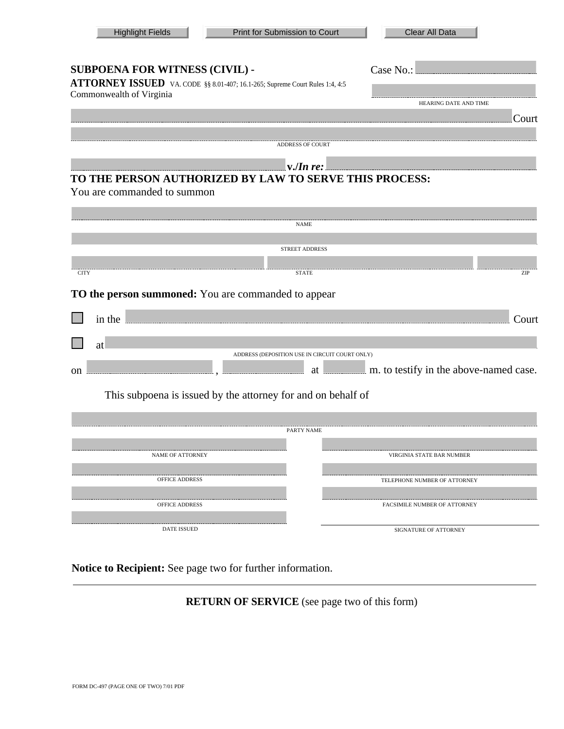| <b>Highlight Fields</b>                                    | Print for Submission to Court                                                                                                                                                                                                                                                                                                                                    | Clear All Data                            |  |  |  |  |
|------------------------------------------------------------|------------------------------------------------------------------------------------------------------------------------------------------------------------------------------------------------------------------------------------------------------------------------------------------------------------------------------------------------------------------|-------------------------------------------|--|--|--|--|
| SUBPOENA FOR WITNESS (CIVIL) -<br>Commonwealth of Virginia | ATTORNEY ISSUED VA. CODE §§ 8.01-407; 16.1-265; Supreme Court Rules 1:4, 4:5                                                                                                                                                                                                                                                                                     | HEARING DATE AND TIME                     |  |  |  |  |
|                                                            |                                                                                                                                                                                                                                                                                                                                                                  | Court                                     |  |  |  |  |
|                                                            | <b>ADDRESS OF COURT</b>                                                                                                                                                                                                                                                                                                                                          |                                           |  |  |  |  |
| You are commanded to summon                                | $\mathbf{v}$ . $\mathbf{v}$ and $\mathbf{v}$ and $\mathbf{v}$ and $\mathbf{v}$ and $\mathbf{v}$ and $\mathbf{v}$ and $\mathbf{v}$ and $\mathbf{v}$ and $\mathbf{v}$ and $\mathbf{v}$ and $\mathbf{v}$ and $\mathbf{v}$ and $\mathbf{v}$ and $\mathbf{v}$ and $\mathbf{v}$ and $\mathbf{v}$ and $\math$<br>TO THE PERSON AUTHORIZED BY LAW TO SERVE THIS PROCESS: |                                           |  |  |  |  |
|                                                            | NAME                                                                                                                                                                                                                                                                                                                                                             |                                           |  |  |  |  |
|                                                            | <b>STREET ADDRESS</b>                                                                                                                                                                                                                                                                                                                                            |                                           |  |  |  |  |
| <b>CITY</b>                                                | <b>STATE</b>                                                                                                                                                                                                                                                                                                                                                     | ZIP                                       |  |  |  |  |
| TO the person summoned: You are commanded to appear        |                                                                                                                                                                                                                                                                                                                                                                  |                                           |  |  |  |  |
|                                                            | in the summarison of the state of the state of the state of the state of the state of the state of the state of the state of the state of the state of the state of the state of the state of the state of the state of the st                                                                                                                                   | Court                                     |  |  |  |  |
| at                                                         |                                                                                                                                                                                                                                                                                                                                                                  |                                           |  |  |  |  |
| on                                                         | ADDRESS (DEPOSITION USE IN CIRCUIT COURT ONLY)                                                                                                                                                                                                                                                                                                                   | at m. to testify in the above-named case. |  |  |  |  |
|                                                            | This subpoena is issued by the attorney for and on behalf of                                                                                                                                                                                                                                                                                                     |                                           |  |  |  |  |
|                                                            |                                                                                                                                                                                                                                                                                                                                                                  |                                           |  |  |  |  |
|                                                            | PARTY NAME                                                                                                                                                                                                                                                                                                                                                       |                                           |  |  |  |  |
| <b>NAME OF ATTORNEY</b>                                    |                                                                                                                                                                                                                                                                                                                                                                  | VIRGINIA STATE BAR NUMBER                 |  |  |  |  |
| OFFICE ADDRESS                                             |                                                                                                                                                                                                                                                                                                                                                                  | TELEPHONE NUMBER OF ATTORNEY              |  |  |  |  |
| OFFICE ADDRESS                                             |                                                                                                                                                                                                                                                                                                                                                                  | FACSIMILE NUMBER OF ATTORNEY              |  |  |  |  |
| <b>DATE ISSUED</b>                                         |                                                                                                                                                                                                                                                                                                                                                                  | SIGNATURE OF ATTORNEY                     |  |  |  |  |

**Notice to Recipient:** See page two for further information.

**RETURN OF SERVICE** (see page two of this form)